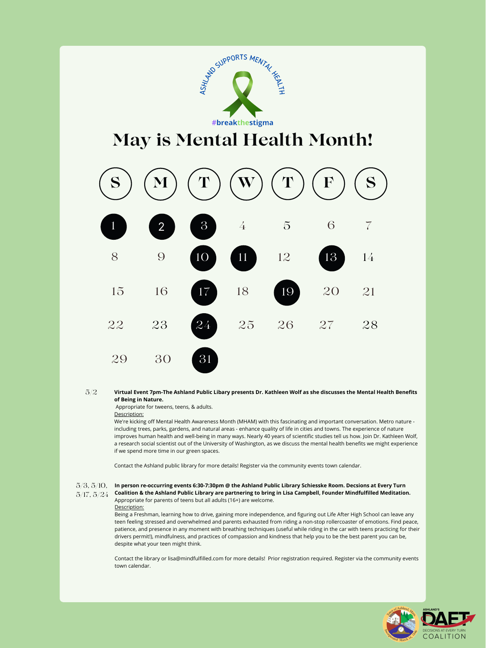Appropriate for tweens, teens, & adults.

## Description:

Virtual Event 7pm-The Ashland Public Libary presents Dr. Kathleen Wolf as she discusses the Mental Health Benefits **of Being in Nature.** 5/2

We're kicking off Mental Health Awareness Month (MHAM) with this fascinating and important conversation. Metro nature including trees, parks, gardens, and natural areas - enhance quality of life in cities and towns. The experience of nature improves human health and well-being in many ways. Nearly 40 years of scientific studies tell us how. Join Dr. Kathleen Wolf, a research social scientist out of the University of Washington, as we discuss the mental health benefits we might experience if we spend more time in our green spaces.

Contact the Ashland public library for more details! Register via the community events town calendar.





30



- 5/3, 5/10, **In person re-occurring events 6:30-7:30pm @ the Ashland Public Library Schiesske Room. Decsions at Every Turn**
- 5/17, 5/24 Coalition & the Ashland Public Library are partnering to bring in Lisa Campbell, Founder Mindfulfilled Meditation. Appropriate for parents of teens but all adults (16+) are welcome. Description:

Being a Freshman, learning how to drive, gaining more independence, and figuring out Life After High School can leave any teen feeling stressed and overwhelmed and parents exhausted from riding a non-stop rollercoaster of emotions. Find peace, patience, and presence in any moment with breathing techniques (useful while riding in the car with teens practicing for their drivers permit!), mindfulness, and practices of compassion and kindness that help you to be the best parent you can be, despite what your teen might think.

Contact the library or lisa@mindfulfilled.com for more details! Prior registration required. Register via the community events town calendar.

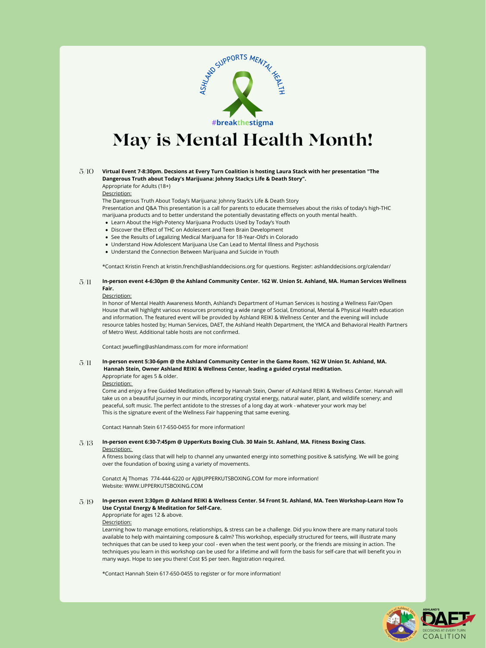- Learn About the High-Potency Marijuana Products Used by Today's Youth
- Discover the Effect of THC on Adolescent and Teen Brain Development
- See the Results of Legalizing Medical Marijuana for 18-Year-Old's in Colorado
- Understand How Adolescent Marijuana Use Can Lead to Mental Illness and Psychosis
- Understand the Connection Between Marijuana and Suicide in Youth

Appropriate for Adults (18+)

Description:

The Dangerous Truth About Today's Marijuana: Johnny Stack's Life & Death Story

Presentation and Q&A This presentation is a call for parents to educate themselves about the risks of today's high-THC marijuana products and to better understand the potentially devastating effects on youth mental health.

\*Contact Kristin French at kristin.french@ashlanddecisions.org for questions. Register: ashlanddecisions.org/calendar/

In honor of Mental Health Awareness Month, Ashland's Department of Human Services is hosting a Wellness Fair/Open House that will highlight various resources promoting a wide range of Social, Emotional, Mental & Physical Health education and information. The featured event will be provided by Ashland REIKI & Wellness Center and the evening will include resource tables hosted by; Human Services, DAET, the Ashland Health Department, the YMCA and Behavioral Health Partners of Metro West. Additional table hosts are not confirmed.

Contact jwuefling@ashlandmass.com for more information!

#### In-person event 4-6:30pm @ the Ashland Community Center. 162 W. Union St. Ashland, MA. Human Services Wellness **Fair.** 5/11

## Description:

In-person event 5:30-6pm @ the Ashland Community Center in the Game Room. 162 W Union St. Ashland, MA. **Hannah Stein, Owner Ashland REIKI & Wellness Center, leading a guided crystal meditation.** Appropriate for ages 5 & older. 5/11

### In-person event 3:30pm @ Ashland REIKI & Wellness Center. 54 Front St. Ashland, MA. Teen Workshop-Learn How To **Use Crystal Energy & Meditation for Self-Care.** 5/19

Description:

#### **Virtual Event 7-8:30pm. Decsions at Every Turn Coalition is hosting Laura Stack with her presentation "The Dangerous Truth about Today's Marijuana: Johnny Stack;s Life & Death Story".** 5/10

Come and enjoy a free Guided Meditation offered by Hannah Stein, Owner of Ashland REIKI & Wellness Center. Hannah will take us on a beautiful journey in our minds, incorporating crystal energy, natural water, plant, and wildlife scenery; and peaceful, soft music. The perfect antidote to the stresses of a long day at work - whatever your work may be! This is the signature event of the Wellness Fair happening that same evening.

Contact Hannah Stein 617-650-0455 for more information!

Description:

A fitness boxing class that will help to channel any unwanted energy into something positive & satisfying. We will be going over the foundation of boxing using a variety of movements.

Conatct Aj Thomas 774-444-6220 or AJ@UPPERKUTSBOXING.COM for more information! Website: WWW.UPPERKUTSBOXING.COM

Appropriate for ages 12 & above.

Description:

#### **In-person event 6:30-7:45pm @ UpperKuts Boxing Club. 30 Main St. Ashland, MA. Fitness Boxing Class.** 5/13

Learning how to manage emotions, relationships, & stress can be a challenge. Did you know there are many natural tools available to help with maintaining composure & calm? This workshop, especially structured for teens, will illustrate many techniques that can be used to keep your cool - even when the test went poorly, or the friends are missing in action. The techniques you learn in this workshop can be used for a lifetime and will form the basis for self-care that will benefit you in many ways. Hope to see you there! Cost \$5 per teen. Registration required.

\*Contact Hannah Stein 617-650-0455 to register or for more information!



![](_page_1_Picture_0.jpeg)

## **May is Mental Health Month!**